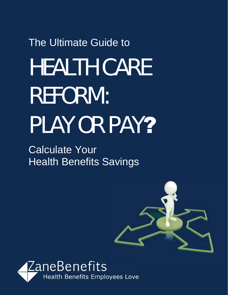# The Ultimate Guide to HEALTH CARE REFORM: PLAY OR PAY?

Calculate Your **Health Benefits Savings** 



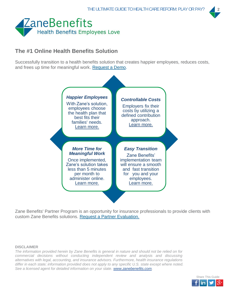

## **The #1 Online Health Benefits Solution**

Successfully transition to a health benefits solution that creates happier employees, reduces costs, and frees up time for meaningful work. Request a Demo.



Zane Benefits' Partner Program is an opportunity for insurance professionals to provide clients with custom Zane Benefits solutions. Request a Partner Evaluation.

#### **DISCLAIMER**

*The information provided herein by Zane Benefits is general in nature and should not be relied on for commercial decisions without conducting independent review and analysis and discussing alternatives with legal, accounting, and insurance advisors. Furthermore, health insurance regulations differ in each state; information provided does not apply to any specific U.S. state except where noted. See a licensed agent for detailed information on your state. www.zanebenefits.com.*

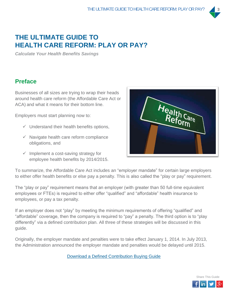

# **THE ULTIMATE GUIDE TO HEALTH CARE REFORM: PLAY OR PAY?**

*Calculate Your Health Benefits Savings* 

## **Preface**

Businesses of all sizes are trying to wrap their heads around health care reform (the Affordable Care Act or ACA) and what it means for their bottom line.

Employers must start planning now to:

- $\checkmark$  Understand their health benefits options,
- $\checkmark$  Navigate health care reform compliance obligations, and
- $\checkmark$  Implement a cost-saving strategy for employee health benefits by 2014/2015.



To summarize, the Affordable Care Act includes an "employer mandate" for certain large employers to either offer health benefits or else pay a penalty. This is also called the "play or pay" requirement.

The "play or pay" requirement means that an employer (with greater than 50 full-time equivalent employees or FTEs) is required to either offer "qualified" and "affordable" health insurance to employees, or pay a tax penalty.

If an employer does not "play" by meeting the minimum requirements of offering "qualified" and "affordable" coverage, then the company is required to "pay" a penalty. The third option is to "play differently" via a defined contribution plan. All three of these strategies will be discussed in this guide.

Originally, the employer mandate and penalties were to take effect January 1, 2014. In July 2013, the Administration announced the employer mandate and penalties would be delayed until 2015.

Download a Defined Contribution Buying Guide

Share This Guide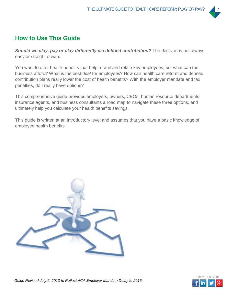

## **How to Use This Guide**

**Should we play, pay or play differently via defined contribution?** The decision is not always easy or straightforward.

You want to offer health benefits that help recruit and retain key employees, but what can the business afford? What is the best *deal* for employees? How can health care reform and defined contribution plans really lower the cost of health benefits? With the employer mandate and tax penalties, do I really have options?

This comprehensive guide provides employers, owners, CEOs, human resource departments, insurance agents, and business consultants a road map to navigate these three options, and ultimately help you calculate your health benefits savings.

This guide is written at an introductory level and assumes that you have a basic knowledge of employee health benefits.



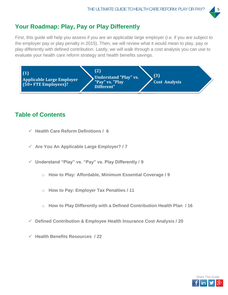## **Your Roadmap: Play, Pay or Play Differently**

First, this guide will help you assess if you are an applicable large employer (i.e. if you are subject to the employer pay or play penalty in 2015). Then, we will review what it would mean to play, pay or play differently with defined contribution. Lastly, we will walk through a cost analysis you can use to evaluate your health care reform strategy and health benefits savings.



## **Table of Contents**

- 9 **Health Care Reform Definitions / 6**
- 9 **Are You An Applicable Large Employer? / 7**
- 9 **Understand "Play" vs. "Pay" vs. Play Differently / 9**
	- o **How to Play: Affordable, Minimum Essential Coverage / 9**
	- o **How to Pay: Employer Tax Penalties / 11**
	- o **How to Play Differently with a Defined Contribution Health Plan / 16**
- 9 **Defined Contribution & Employee Health Insurance Cost Analysis / 20**
- 9 **Health Benefits Resources / 22**

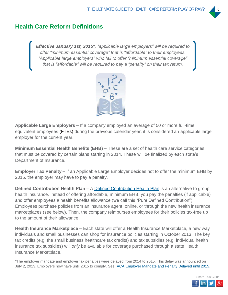## **Health Care Reform Definitions**

*Effective January 1st, 2015\*, "applicable large employers" will be required to offer "minimum essential coverage" that is "affordable" to their employees. "Applicable large employers" who fail to offer "minimum essential coverage" that is "affordable" will be required to pay a "penalty" on their tax return.*



**Applicable Large Employers –** If a company employed an average of 50 or more full-time equivalent employees (FTEs) during the previous calendar year, it is considered an applicable large employer for the current year.

**Minimum Essential Health Benefits (EHB) –** These are a set of health care service categories that must be covered by certain plans starting in 2014. These will be finalized by each state's Department of Insurance.

**Employer Tax Penalty –** If an Applicable Large Employer decides not to offer the minimum EHB by 2015, the employer may have to pay a penalty.

**Defined Contribution Health Plan –** A Defined Contribution Health Plan is an alternative to group health insurance. Instead of offering affordable, minimum EHB, you pay the penalties (if applicable) and offer employees a health benefits allowance (we call this "Pure Defined Contribution"). Employees purchase policies from an insurance agent, online, or through the new health insurance marketplaces (see below). Then, the company reimburses employees for their policies tax-free up to the amount of their allowance.

**Health Insurance Marketplace –** Each state will offer a Health Insurance Marketplace, a new way individuals and small businesses can shop for insurance policies starting in October 2013. The key tax credits (e.g. the small business healthcare tax credits) and tax subsidies (e.g. individual health insurance tax subsidies) will *only* be available for coverage purchased through a state Health Insurance Marketplace.

\*The employer mandate and employer tax penalties were delayed from 2014 to 2015. This delay was announced on July 2, 2013. Employers now have until 2015 to comply. See: ACA Employer Mandate and Penalty Delayed until 2015.

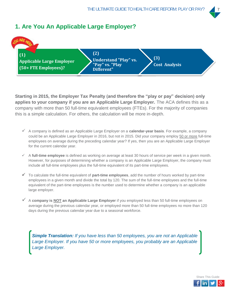



**Starting in 2015, the Employer Tax Penalty (and therefore the "play or pay" decision) only applies to your company if you are an Applicable Large Employer.** The ACA defines this as a company with more than 50 full-time equivalent employees (FTEs). For the majority of companies this is a simple calculation. For others, the calculation will be more in-depth.

- 9 A company is defined as an Applicable Large Employer on a **calendar-year basis**. For example, a company could be an Applicable Large Employer in 2016, but not in 2015. Did your company employ 50 or more full-time employees on average during the preceding calendar year? If yes, then you are an Applicable Large Employer for the current calendar year.
- 9 A **full-time employee** is defined as working on average at least 30 hours of service per week in a given month. However, for purposes of determining whether a company is an Applicable Large Employer, the company must include all full-time employees plus the full-time equivalent of its part-time employees.
- $\checkmark$  To calculate the full-time equivalent of **part-time employees**, add the number of hours worked by part-time employees in a given month and divide the total by 120. The sum of the full-time employees and the full-time equivalent of the part-time employees is the number used to determine whether a company is an applicable large employer.
- 9 A **company is NOT an Applicable Large Employer** if you employed less than 50 full-time employees on average during the previous calendar year, or employed more than 50 full-time employees no more than 120 days during the previous calendar year due to a seasonal workforce.

*Simple Translation: If you have less than 50 employees, you are not an Applicable Large Employer. If you have 50 or more employees, you probably are an Applicable Large Employer.*

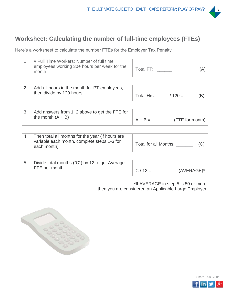

## **Worksheet: Calculating the number of full-time employees (FTEs)**

Here's a worksheet to calculate the number FTEs for the Employer Tax Penalty.

| # Full Time Workers: Number of full time<br>employees working 30+ hours per week for the<br>month | Total FT: |  |
|---------------------------------------------------------------------------------------------------|-----------|--|
|                                                                                                   |           |  |

| Add all hours in the month for PT employees, | Total Hrs: / |
|----------------------------------------------|--------------|
| then divide by 120 hours                     | $120 =$      |

| Add answers from 1, 2 above to get the FTE for |           |                 |
|------------------------------------------------|-----------|-----------------|
| the month $(A + B)$                            | $A + B =$ | (FTE for month) |

| Then total all months for the year (if hours are<br>variable each month, complete steps 1-3 for<br>each month) | Total for all Months: |  |
|----------------------------------------------------------------------------------------------------------------|-----------------------|--|
|                                                                                                                |                       |  |

| Divide total months ("C") by 12 to get Average<br>FTE per month |          |            |
|-----------------------------------------------------------------|----------|------------|
|                                                                 | $C/12 =$ | (AVERAGE)* |

\*If AVERAGE in step 5 is 50 or more, then you are considered an Applicable Large Employer.



Share This Guide

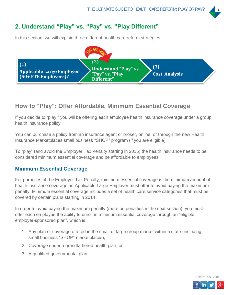## **2. Understand "Play" vs. "Pay" vs. "Play Different"**

In this section, we will explain three different health care reform strategies.



## **How to "Play": Offer Affordable, Minimum Essential Coverage**

If you decide to "play," you will be offering each employee health insurance coverage under a group health insurance policy.

You can purchase a policy from an insurance agent or broker, online, or through the new Health Insurance Marketplaces small business "SHOP" program (if you are eligible).

To "play" (and avoid the Employer Tax Penalty starting in 2015) the health insurance needs to be considered minimum essential coverage and be affordable to employees.

#### **Minimum Essential Coverage**

For purposes of the Employer Tax Penalty, minimum essential coverage is the minimum amount of health insurance coverage an Applicable Large Employer must offer to avoid paying the maximum penalty. Minimum essential coverage includes a set of health care service categories that must be covered by certain plans starting in 2014.

In order to avoid paying the maximum penalty (more on penalties in the next section), you must offer each employee the ability to enroll in minimum essential coverage through an "eligible employer-sponsored plan", which is:

- 1. Any plan or coverage offered in the small or large group market within a state (including small business "SHOP" marketplaces),
- 2. Coverage under a grandfathered health plan, or
- 3. A qualified governmental plan.

Share This Guide

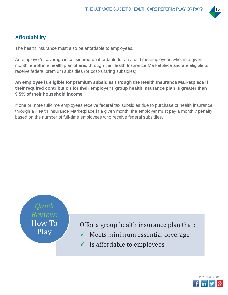

## **Affordability**

The health insurance must also be affordable to employees.

An employer's coverage is considered unaffordable for any full-time employees who, in a given month, enroll in a health plan offered through the Health Insurance Marketplace and are eligible to receive federal premium subsidies (or cost-sharing subsidies).

**An employee is eligible for premium subsidies through the Health Insurance Marketplace if their required contribution for their employer's group health insurance plan is greater than 9.5% of their household income.** 

If one or more full-time employees receive federal tax subsidies due to purchase of health insurance through a Health Insurance Marketplace in a given month, the employer must pay a monthly penalty based on the number of full-time employees who receive federal subsidies.



Offer a group health insurance plan that:

- $\checkmark$  Meets minimum essential coverage
- $\checkmark$  Is affordable to employees

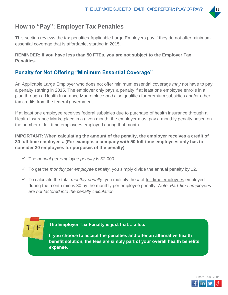

# **How to "Pay": Employer Tax Penalties**

This section reviews the tax penalties Applicable Large Employers pay if they do not offer minimum essential coverage that is affordable, starting in 2015.

#### **REMINDER: If you have less than 50 FTEs, you are not subject to the Employer Tax Penalties.**

## **Penalty for Not Offering "Minimum Essential Coverage"**

An Applicable Large Employer who does not offer minimum essential coverage *may* not have to pay a penalty starting in 2015. The employer only pays a penalty if at least one employee enrolls in a plan through a Health Insurance Marketplace *and* also qualifies for premium subsidies and/or other tax credits from the federal government.

If at least one employee receives federal subsidies due to purchase of health insurance through a Health Insurance Marketplace in a given month, the employer must pay a monthly penalty based on the number of full-time employees employed during that month.

**IMPORTANT: When calculating the amount of the penalty, the employer receives a credit of 30 full-time employees. (For example, a company with 50 full-time employees only has to consider 20 employees for purposes of the penalty).** 

 $\checkmark$  The *annual per employee penalty* is \$2,000.

TIP

- $\checkmark$  To get the *monthly per employee penalty*, you simply divide the annual penalty by 12.
- $\checkmark$  To calculate the total *monthly penalty*, you multiply the # of full-time employees employed during the month minus 30 by the monthly per employee penalty. *Note: Part-time employees are not factored into the penalty calculation.*

**The Employer Tax Penalty is just that… a fee.** 

**If you choose to accept the penalties and offer an alternative health benefit solution, the fees are simply part of your overall health benefits expense.** 

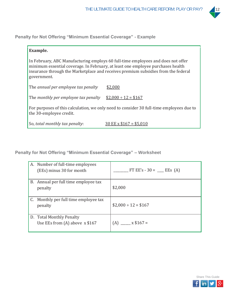

**Penalty for Not Offering "Minimum Essential Coverage" - Example** 

| Example.                             |                                                                                                                                                                                                                                                          |
|--------------------------------------|----------------------------------------------------------------------------------------------------------------------------------------------------------------------------------------------------------------------------------------------------------|
| government.                          | In February, ABC Manufacturing employs 60 full-time employees and does not offer<br>minimum essential coverage. In February, at least one employee purchases health<br>insurance through the Marketplace and receives premium subsidies from the federal |
| The annual per employee tax penalty  | \$2,000                                                                                                                                                                                                                                                  |
| The monthly per employee tax penalty | $$2,000 \div 12 = $167$                                                                                                                                                                                                                                  |
| the 30-employee credit.              | For purposes of this calculation, we only need to consider 30 full-time employees due to                                                                                                                                                                 |
| So, total monthly tax penalty:       | $30 \text{ EE} \times $167 = $5,010$                                                                                                                                                                                                                     |

**Penalty for Not Offering "Minimum Essential Coverage" – Worksheet** 

| A. Number of full-time employees<br>(EEs) minus 30 for month  | FT EE's - 30 = ___ EEs (A) |
|---------------------------------------------------------------|----------------------------|
| B. Annual per full time employee tax<br>penalty               | \$2,000                    |
| C. Monthly per full time employee tax<br>penalty              | $$2,000 \div 12 = $167$    |
| D. Total Monthly Penalty<br>Use EEs from $(A)$ above $x $167$ | $(A)$ x \$167 =            |

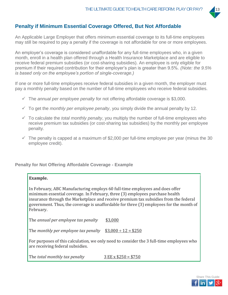

## **Penalty if Minimum Essential Coverage Offered, But Not Affordable**

An Applicable Large Employer that offers minimum essential coverage to its full-time employees may still be required to pay a penalty if the coverage is not affordable for one or more employees.

An employer's coverage is considered unaffordable for any full-time employees who, in a given month, enroll in a health plan offered through a Health Insurance Marketplace and are eligible to receive federal premium subsidies (or cost-sharing subsidies). An employee is only eligible for premium if their required contribution for their employer's plan is greater than 9.5%*. (Note: the 9.5% is based only on the employee's portion of single-coverage.)*

If one or more full-time employees receive federal subsidies in a given month, the employer must pay a monthly penalty based on the number of full-time employees who receive federal subsidies.

- $\checkmark$  The *annual per employee penalty* for not offering affordable coverage is \$3,000.
- $\checkmark$  To get the *monthly per employee penalty*, you simply divide the annual penalty by 12.
- $\checkmark$  To calculate the *total monthly penalty*, you multiply the number of full-time employees who receive premium tax subsidies (or cost-sharing tax subsidies) by the monthly per employee penalty.
- $\checkmark$  The penalty is capped at a maximum of \$2,000 per full-time employee per year (minus the 30 employee credit).

#### **Penalty for Not Offering Affordable Coverage - Example**

#### **Example.**

In February, ABC Manufacturing employs 60 full-time employees and does offer minimum essential coverage. In February, three (3) employees purchase health insurance through the Marketplace and receive premium tax subsidies from the federal government. Thus, the coverage is unaffordable for three (3) employees for the month of February.

*annual per employee tax penalty* \$3,000

*The monthly per employee tax penalty*  $$3,000 \div 12 = $250$ 

For purposes of this calculation, we only need to consider the 3 full-time employees who are receiving federal subsidies.

*total monthly tax penalty*͵̈́ʹͷͲα̈́ͷͲ

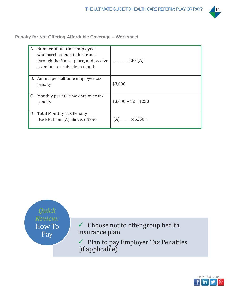

**Penalty for Not Offering Affordable Coverage – Worksheet** 

| A. Number of full-time employees<br>who purchase health insurance<br>through the Marketplace, and receive<br>premium tax subsidy in month | EEs(A)                  |
|-------------------------------------------------------------------------------------------------------------------------------------------|-------------------------|
| B. Annual per full time employee tax<br>penalty                                                                                           | \$3,000                 |
| C. Monthly per full time employee tax<br>penalty                                                                                          | $$3,000 \div 12 = $250$ |
| D. Total Monthly Tax Penalty<br>Use EEs from $(A)$ above, x \$250                                                                         | $(A)$ x \$250 =         |



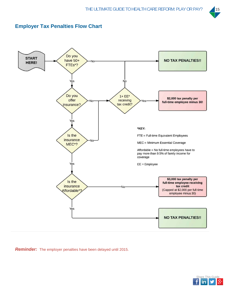

### **Employer Tax Penalties Flow Chart**



*Reminder:* The employer penalties have been delayed until 2015.

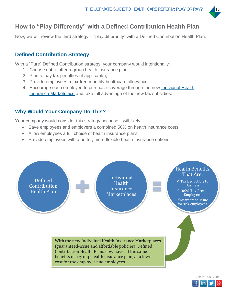

# **How to "Play Differently" with a Defined Contribution Health Plan**

Now, we will review the third strategy -- "play differently" with a Defined Contribution Health Plan.

## **Defined Contribution Strategy**

With a "Pure" Defined Contribution strategy, your company would intentionally:

- 1. Choose not to offer a group health insurance plan,
- 2. Plan to pay tax penalties (if applicable),
- 3. Provide employees a tax-free monthly healthcare allowance,
- 4. Encourage each employee to purchase coverage through the new Individual Health Insurance Marketplace and take full advantage of the new tax subsidies.

## **Why Would Your Company Do This?**

Your company would consider this strategy because it will likely:

- Save employees and employers a combined 50% on health insurance costs.
- Allow employees a full choice of health insurance plans.
- Provide employees with a better, more flexible health insurance options.



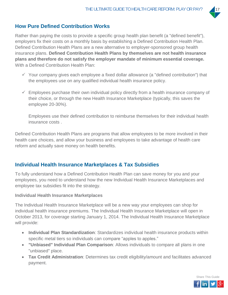

## **How Pure Defined Contribution Works**

Rather than paying the costs to provide a specific group health plan benefit (a "defined benefit"), employers fix their costs on a monthly basis by establishing a Defined Contribution Health Plan. Defined Contribution Health Plans are a new alternative to employer-sponsored group health insurance plans. **Defined Contribution Health Plans by themselves are not health insurance plans and therefore do not satisfy the employer mandate of minimum essential coverage.**  With a Defined Contribution Health Plan:

- $\checkmark$  Your company gives each employee a fixed dollar allowance (a "defined contribution") that the employees use on any qualified individual health insurance policy.
- $\checkmark$  Employees purchase their own individual policy directly from a health insurance company of their choice, or through the new Health Insurance Marketplace (typically, this saves the employee 20-30%).

Employees use their defined contribution to reimburse themselves for their individual health insurance costs .

Defined Contribution Health Plans are programs that allow employees to be more involved in their health care choices, and allow your business and employees to take advantage of health care reform and actually save money on health benefits.

#### **Individual Health Insurance Marketplaces & Tax Subsidies**

To fully understand how a Defined Contribution Health Plan can save money for you and your employees, you need to understand how the new Individual Health Insurance Marketplaces and employee tax subsidies fit into the strategy.

#### **Individual Health Insurance Marketplaces**

The Individual Health Insurance Marketplace will be a new way your employees can shop for individual health insurance premiums. The Individual Health Insurance Marketplace will open in October 2013, for coverage starting January 1, 2014. The Individual Health Insurance Marketplace will provide:

- **Individual Plan Standardization**: Standardizes individual health insurance products within specific metal tiers so individuals can compare "apples to apples."
- **"Unbiased" Individual Plan Comparison**: Allows individuals to compare all plans in one "unbiased" place.
- **Tax Credit Administration**: Determines tax credit eligibility/amount and facilitates advanced payment.

Share This Guide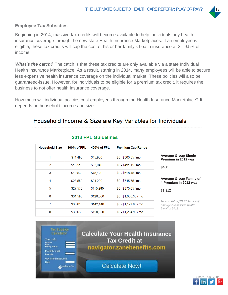

#### **Employee Tax Subsidies**

Beginning in 2014, massive tax credits will become available to help individuals buy health insurance coverage through the new state Health Insurance Marketplaces. If an employee is eligible, these tax credits will cap the cost of his or her family's health insurance at 2 - 9.5% of income.

**What's the catch?** The catch is that these tax credits are only available via a state Individual Health Insurance Marketplace. As a result, starting in 2014, many employees will be able to secure less expensive health insurance coverage on the individual market. These policies will also be guaranteed-issue. However, for individuals to be eligible for a premium tax credit, it requires the business to not offer health insurance coverage.

How much will individual policies cost employees through the Health Insurance Marketplace? It depends on household income and size:

## Household Income & Size are Key Variables for Individuals

|                                                                | <b>Premium Cap Range</b> | 400% of FPL | 100% of FPL | <b>Household Size</b> |
|----------------------------------------------------------------|--------------------------|-------------|-------------|-----------------------|
| <b>Average Group Single</b><br>Premium in 2012 was:            | $$0 - $363.85/m0$        | \$45,960    | \$11,490    | 1                     |
| \$468                                                          | $$0 - $491.15/m0$        | \$62,040    | \$15,510    | $\overline{2}$        |
|                                                                | $$0 - $618.45/mo$        | \$78,120    | \$19,530    | 3                     |
| <b>Average Group Family</b><br>4 Premium in 2012 was           | $$0 - $745.75/m0$        | \$94,200    | \$23,550    | 4                     |
| \$1.312                                                        | $$0 - $873.05/m$ o       | \$110,280   | \$27,570    | 5                     |
|                                                                | $$0 - $1,000.35$ / mo    | \$126,360   | \$31,590    | 6                     |
| Source: Kaiser/HRET Survey<br><b>Employer-Sponsored Health</b> | $$0 - $1,127.65/m0$      | \$142,440   | \$35,610    | 7                     |
| Benefits, 2012.                                                | $$0 - $1,254.95$ / mo    | \$158,520   | \$39,630    | 8                     |
|                                                                |                          |             |             |                       |

#### 2013 FPL Guidelines

**Average Group Family of 4 Premium in 2012 was:**

*Source: Kaiser/HRET Survey of Employer-Sponsored Health Benefits, 2012.*



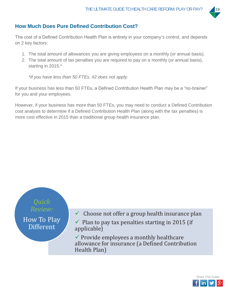

## **How Much Does Pure Defined Contribution Cost?**

The cost of a Defined Contribution Health Plan is entirely in your company's control, and depends on 2 key factors:

- 1. The total amount of allowances you are giving employees on a monthly (or annual basis).
- 2. The total amount of tax penalties you are required to pay on a monthly (or annual basis), starting in 2015.\*

*\*If you have less than 50 FTEs, #2 does not apply.* 

If your business has less than 50 FTEs, a Defined Contribution Health Plan may be a "no-brainer" for you and your employees.

However, if your business has more than 50 FTEs, you may need to conduct a Defined Contribution cost analysis to determine if a Defined Contribution Health Plan (along with the tax penalties) is more cost effective in 2015 than a traditional group health insurance plan.



 $\checkmark$  Choose not offer a group health insurance plan

 $\checkmark$  Plan to pay tax penalties starting in 2015 (if applicable)

 $\checkmark$  Provide employees a monthly healthcare allowance for insurance (a Defined Contribution Health Plan)

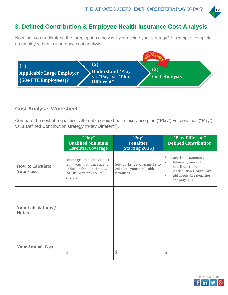

# **3. Defined Contribution & Employee Health Insurance Cost Analysis**

Now that you understand the three options, how will you decide your strategy? It's simple: complete an employee health insurance cost analysis.



#### **Cost Analysis Worksheet**

Compare the cost of a qualified, affordable group health insurance plan ("Play") vs. penalties ("Pay") vs. a Defined Contribution strategy ("Play Different").

|                                             | "Play"<br><b>Qualified Minimum</b><br><b>Essential Coverage</b>                                                               | "Pay"<br><b>Penalties</b><br><b>(Starting 2015)</b>                    | "Play Different"<br><b>Defined Contribution</b>                                                                                                                                |
|---------------------------------------------|-------------------------------------------------------------------------------------------------------------------------------|------------------------------------------------------------------------|--------------------------------------------------------------------------------------------------------------------------------------------------------------------------------|
| <b>How to Calculate</b><br><b>Your Cost</b> | Obtain group health quotes<br>from your insurance agent,<br>online or through the new<br>"SHOP" Marketplace (if<br>eligible). | See worksheet on page 12 to<br>calculate your applicable<br>penalties. | See page 19. In summary:<br>Define any amount to<br>$\bullet$<br>contribute to Defined<br>Contribution Health Plan.<br>Add applicable penalties<br>$\bullet$<br>(see page 12). |
| <b>Your Calculations /</b><br><b>Notes</b>  |                                                                                                                               |                                                                        |                                                                                                                                                                                |
| <b>Your Annual Cost</b>                     | \$                                                                                                                            | \$                                                                     | \$                                                                                                                                                                             |